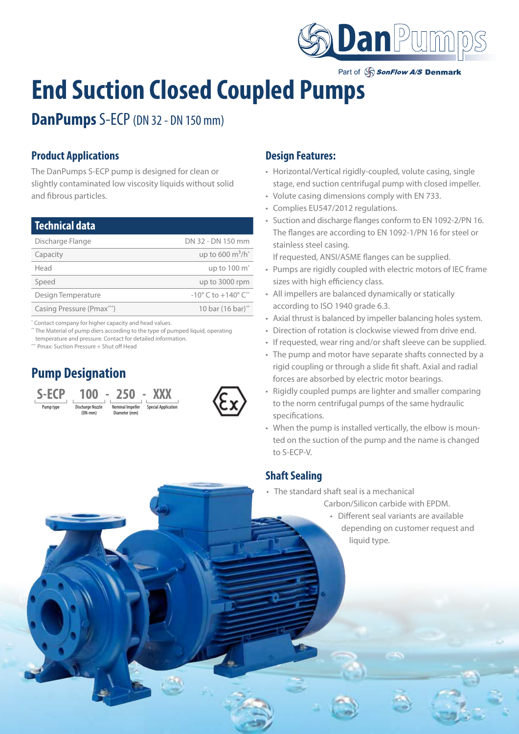

Part of SonFlow A/S Denmark

# **End Suction Closed Coupled Pumps**

**DanPumps** S-ECP (DN 32 - DN 150 mm)

## **Product Applications**

The DanPumps S-ECP pump is designed for clean or slightly contaminated low viscosity liquids without solid and fibrous particles.

| <b>Technical data</b>                               |                                                   |
|-----------------------------------------------------|---------------------------------------------------|
| Discharge Flange                                    | DN 32 - DN 150 mm                                 |
| Capacity                                            | up to 600 $m^3/h^*$                               |
| Head                                                | up to 100 m <sup>*</sup>                          |
| Speed                                               | up to 3000 rpm                                    |
| Design Temperature                                  | $-10^{\circ}$ C to $+140^{\circ}$ C <sup>**</sup> |
| Casing Pressure (Pmax***)                           | 10 bar (16 bar)**                                 |
| Contact company for higher capacity and head values |                                                   |

Contact company for higher capacity and head value \*\* The Material of pump diers according to the type of pumped liquid, operating

temperature and pressure. Contact for detailed information.

\*\*\* Pmax: Suction Pressure + Shut off Head

# **Pump Designation**





#### **Design Features:**

- Horizontal/Vertical rigidly-coupled, volute casing, single stage, end suction centrifugal pump with closed impeller.
- Volute casing dimensions comply with EN 733.
- Complies EU547/2012 regulations.
- Suction and discharge flanges conform to EN 1092-2/PN 16. The flanges are according to EN 1092-1/PN 16 for steel or stainless steel casing.

If requested, ANSI/ASME flanges can be supplied.

- Pumps are rigidly coupled with electric motors of IEC frame sizes with high efficiency class.
- All impellers are balanced dynamically or statically according to ISO 1940 grade 6.3.
- Axial thrust is balanced by impeller balancing holes system.
- Direction of rotation is clockwise viewed from drive end.
- If requested, wear ring and/or shaft sleeve can be supplied.
- The pump and motor have separate shafts connected by a rigid coupling or through a slide fit shaft. Axial and radial forces are absorbed by electric motor bearings.
- Rigidly coupled pumps are lighter and smaller comparing to the norm centrifugal pumps of the same hydraulic specifications.
- When the pump is installed vertically, the elbow is mounted on the suction of the pump and the name is changed to S-ECP-V.

### **Shaft Sealing**

- The standard shaft seal is a mechanical
	- Carbon/Silicon carbide with EPDM.
		- Different seal variants are available depending on customer request and liquid type.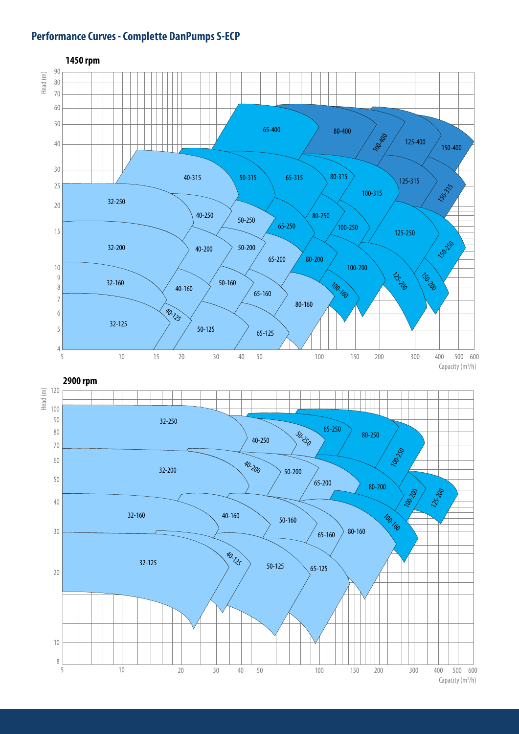## **Performance Curves - Complette DanPumps S-ECP**

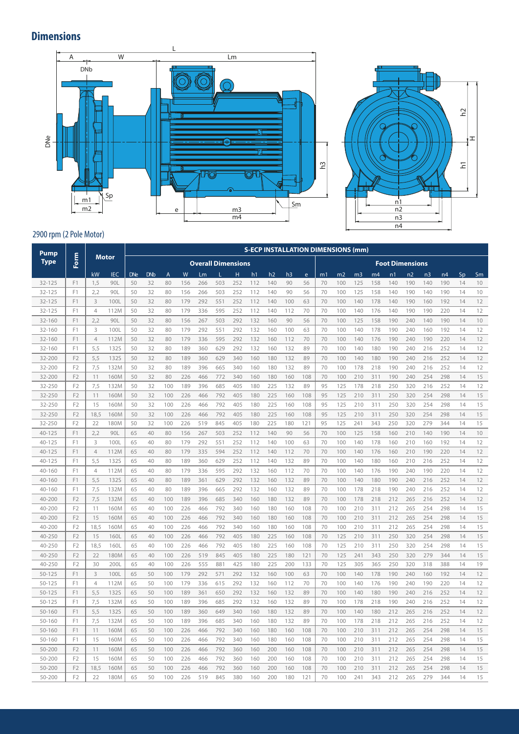# **Dimensions**



 $\overline{z}$ 

h2

H

#### 2900 rpm (2 Pole Motor)

| Pump             |                                  |                |              |            |            |                |            |            |                           |            |            |            |                |            |          | <b>S-ECP INSTALLATION DIMENSIONS (mm)</b> |                |                |                |                        |                |            |          |          |
|------------------|----------------------------------|----------------|--------------|------------|------------|----------------|------------|------------|---------------------------|------------|------------|------------|----------------|------------|----------|-------------------------------------------|----------------|----------------|----------------|------------------------|----------------|------------|----------|----------|
| <b>Type</b>      | Form                             |                | <b>Motor</b> |            |            |                |            |            | <b>Overall Dimensions</b> |            |            |            |                |            |          |                                           |                |                |                | <b>Foot Dimensions</b> |                |            |          |          |
|                  |                                  | kW             | <b>IEC</b>   | <b>DNe</b> | <b>DNb</b> | $\overline{A}$ | W          | Lm         |                           | H          | h1         | h2         | h <sub>3</sub> | e          | m1       | m <sub>2</sub>                            | m <sub>3</sub> | m <sub>4</sub> | n <sub>1</sub> | n <sub>2</sub>         | n <sub>3</sub> | n4         | Sp       | Sm       |
| 32-125           | F <sub>1</sub>                   | 1.5            | 90L          | 50         | 32         | 80             | 156        | 266        | 503                       | 252        | 112        | 140        | 90             | 56         | 70       | 100                                       | 125            | 158            | 140            | 190                    | 140            | 190        | 14       | 10       |
| $32 - 125$       | F1                               | 2,2            | 90L          | 50         | 32         | 80             | 156        | 266        | 503                       | 252        | 112        | 140        | 90             | 56         | 70       | 100                                       | 125            | 158            | 140            | 190                    | 140            | 190        | 14       | 10       |
| 32-125           | F1                               | 3              | 100L         | 50         | 32         | 80             | 179        | 292        | 551                       | 252        | 112        | 140        | 100            | 63         | 70       | 100                                       | 140            | 178            | 140            | 190                    | 160            | 192        | 14       | 12       |
| 32-125           | F1                               | $\overline{4}$ | 112M         | 50         | 32         | 80             | 179        | 336        | 595                       | 252        | 112        | 140        | 112            | 70         | 70       | 100                                       | 140            | 176            | 140            | 190                    | 190            | 220        | 14       | 12       |
| 32-160           | F1                               | 2.2            | 90L          | 50         | 32         | 80             | 156        | 267        | 503                       | 292        | 132        | 160        | 90             | 56         | 70       | 100                                       | 125            | 158            | 190            | 240                    | 140            | 190        | 14       | 10       |
| 32-160           | F <sub>1</sub>                   | 3              | 100L         | 50         | 32         | 80             | 179        | 292        | 551                       | 292        | 132        | 160        | 100            | 63         | 70       | 100                                       | 140            | 178            | 190            | 240                    | 160            | 192        | 14       | 12       |
| 32-160           | F1                               | $\overline{4}$ | 112M         | 50         | 32         | 80             | 179        | 336        | 595                       | 292        | 132        | 160        | 112            | 70         | 70       | 100                                       | 140            | 176            | 190            | 240                    | 190            | 220        | 14       | 12       |
| 32-160           | F1                               | 5,5            | <b>132S</b>  | 50         | 32         | 80             | 189        | 360        | 629                       | 292        | 132        | 160        | 132            | 89         | 70       | 100                                       | 140            | 180            | 190            | 240                    | 216            | 252        | 14       | 12       |
| 32-200           | F <sub>2</sub>                   | 5,5            | <b>132S</b>  | 50         | 32         | 80             | 189        | 360        | 629                       | 340        | 160        | 180        | 132            | 89         | 70       | 100                                       | 140            | 180            | 190            | 240                    | 216            | 252        | 14       | 12       |
| 32-200           | F <sub>2</sub>                   | 7,5            | 132M         | 50         | 32         | 80             | 189        | 396        | 665                       | 340        | 160        | 180        | 132            | 89         | 70       | 100                                       | 178            | 218            | 190            | 240                    | 216            | 252        | 14       | 12       |
| 32-200           | F <sub>2</sub>                   | 11             | 160M         | 50         | 32         | 80             | 226        | 466        | 772                       | 340        | 160        | 180        | 160            | 108        | 70       | 100                                       | 210            | 311            | 190            | 240                    | 254            | 298        | 14       | 15       |
| 32-250           | F <sub>2</sub>                   | 7,5            | 132M         | 50         | 32         | 100            | 189        | 396        | 685                       | 405        | 180        | 225        | 132            | 89         | 95       | 125                                       | 178            | 218            | 250            | 320                    | 216            | 252        | 14       | 12       |
| 32-250           | F <sub>2</sub>                   | 11             | 160M         | 50         | 32         | 100            | 226        | 466        | 792                       | 405        | 180        | 225        | 160            | 108        | 95       | 125                                       | 210            | 311            | 250            | 320                    | 254            | 298        | 14       | 15       |
| 32-250           | F <sub>2</sub>                   | 15             | 160M         | 50         | 32         | 100            | 226        | 466        | 792                       | 405        | 180        | 225        | 160            | 108        | 95       | 125                                       | 210            | 311            | 250            | 320                    | 254            | 298        | 14       | 15       |
| 32-250           | F <sub>2</sub>                   | 18.5           | 160M         | 50         | 32         | 100            | 226        | 466        | 792                       | 405        | 180        | 225        | 160            | 108        | 95       | 125                                       | 210            | 311            | 250            | 320                    | 254            | 298        | 14       | 15       |
| 32-250           | F <sub>2</sub>                   | 22             | 180M         | 50         | 32         | 100            | 226        | 519        | 845                       | 405        | 180        | 225        | 180            | 121        | 95       | 125                                       | 241            | 343            | 250            | 320                    | 279            | 344        | 14       | 15       |
| $40 - 125$       | F1                               | 2,2            | 90L          | 65         | 40         | 80             | 156        | 267        | 503                       | 252        | 112        | 140        | 90             | 56         | 70       | 100                                       | 125            | 158            | 160            | 210                    | 140            | 190        | 14       | 10       |
| 40-125           | F1                               | 3              | 100L         | 65         | 40         | 80             | 179        | 292        | 551                       | 252        | 112        | 140        | 100            | 63         | 70       | 100                                       | 140            | 178            | 160            | 210                    | 160            | 192        | 14       | 12       |
| $40 - 125$       | F1                               | $\overline{4}$ | 112M         | 65         | 40         | 80             | 179        | 335        | 594                       | 252        | 112        | 140        | 112            | 70         | 70       | 100                                       | 140            | 176            | 160            | 210                    | 190            | 220        | 14       | 12       |
| 40-125           | F <sub>1</sub>                   | 5.5            | 132S         | 65         | 40         | 80             | 189        | 360        | 629                       | 252        | 112        | 140        | 132            | 89         | 70       | 100                                       | 140            | 180            | 160            | 210                    | 216            | 252        | 14       | 12       |
| 40-160           | F1                               | $\overline{4}$ | 112M         | 65         | 40         | 80             | 179        | 336        | 595                       | 292        | 132        | 160        | 112            | 70         | 70       | 100                                       | 140            | 176            | 190            | 240                    | 190            | 220        | 14       | 12       |
| $40 - 160$       | F1                               | 5,5            | <b>132S</b>  | 65         | 40         | 80             | 189        | 361        | 629                       | 292        | 132        | 160        | 132            | 89         | 70       | 100                                       | 140            | 180            | 190            | 240                    | 216            | 252        | 14       | 12       |
| 40-160           | F1                               | 7,5            | 132M         | 65         | 40         | 80             | 189        | 396        | 665                       | 292        | 132        | 160        | 132            | 89         | 70       | 100                                       | 178            | 218            | 190            | 240                    | 216            | 252        | 14       | 12       |
| 40-200           | F <sub>2</sub>                   | 7,5            | 132M         | 65         | 40         | 100            | 189        | 396        | 685                       | 340        | 160        | 180        | 132            | 89         | 70       | 100                                       | 178            | 218            | 212            | 265                    | 216            | 252        | 14       | 12       |
| 40-200           | F <sub>2</sub>                   | 11             | 160M         | 65         | 40         | 100            | 226        | 466        | 792                       | 340        | 160        | 180        | 160            | 108        | 70       | 100                                       | 210            | 311            | 212            | 265                    | 254            | 298        | 14       | 15       |
| 40-200           | F <sub>2</sub>                   | 15             | 160M         | 65         | 40         | 100            | 226        | 466        | 792                       | 340        | 160        | 180        | 160            | 108        | 70       | 100                                       | 210            | 311            | 212            | 265                    | 254            | 298        | 14       | 15       |
| 40-200           | F <sub>2</sub>                   | 18,5           | 160M         | 65         | 40         | 100            | 226        | 466        | 792                       | 340        | 160        | 180        | 160            | 108        | 70       | 100                                       | 210            | 311            | 212            | 265                    | 254            | 298        | 14       | 15       |
| 40-250           | F <sub>2</sub><br>F <sub>2</sub> | 15             | 160L         | 65         | 40         | 100            | 226        | 466        | 792                       | 405        | 180        | 225        | 160            | 108        | 70       | 125                                       | 210            | 311            | 250            | 320                    | 254            | 298        | 14       | 15       |
| 40-250<br>40-250 | F <sub>2</sub>                   | 18,5<br>22     | 160L<br>180M | 65<br>65   | 40<br>40   | 100<br>100     | 226<br>226 | 466<br>519 | 792<br>845                | 405<br>405 | 180<br>180 | 225<br>225 | 160<br>180     | 108<br>121 | 70<br>70 | 125<br>125                                | 210<br>241     | 311<br>343     | 250<br>250     | 320<br>320             | 254<br>279     | 298<br>344 | 14<br>14 | 15<br>15 |
| 40-250           | F <sub>2</sub>                   | 30             | 200L         | 65         | 40         | 100            | 226        | 555        | 881                       | 425        | 180        | 225        | 200            | 133        | 70       | 125                                       | 305            | 365            | 250            | 320                    | 318            | 388        | 14       | 19       |
| 50-125           | F1                               | 3              | 100L         | 65         | 50         | 100            | 179        | 292        | 571                       | 292        | 132        | 160        | 100            | 63         | 70       | 100                                       | 140            | 178            | 190            | 240                    | 160            | 192        | 14       | 12       |
| 50-125           | F1                               | $\overline{4}$ | 112M         | 65         | 50         | 100            | 179        | 336        | 615                       | 292        | 132        | 160        | 112            | 70         | 70       | 100                                       | 140            | 176            | 190            | 240                    | 190            | 220        | 14       | 12       |
| 50-125           | F1                               | 5,5            | <b>132S</b>  | 65         | 50         | 100            | 189        | 361        | 650                       | 292        | 132        | 160        | 132            | 89         | 70       | 100                                       | 140            | 180            | 190            | 240                    | 216            | 252        | 14       | 12       |
| 50-125           | F1                               | 7,5            | 132M         | 65         | 50         | 100            | 189        | 396        | 685                       | 292        | 132        | 160        | 132            | 89         | 70       | 100                                       | 178            | 218            | 190            | 240                    | 216            | 252        | 14       | 12       |
| 50-160           | F1                               | 5,5            | <b>132S</b>  | 65         | 50         | 100            | 189        | 360        | 649                       | 340        | 160        | 180        | 132            | 89         | 70       | 100                                       | 140            | 180            | 212            | 265                    | 216            | 252        | 14       | 12       |
| 50-160           | F1                               | 7,5            | 132M         | 65         | 50         | 100            | 189        | 396        | 685                       | 340        | 160        | 180        | 132            | 89         | 70       | 100                                       | 178            | 218            | 212            | 265                    | 216            | 252        | 14       | 12       |
| 50-160           | F1                               | 11             | 160M         | 65         | 50         | 100            | 226        | 466        | 792                       | 340        | 160        | 180        | 160            | 108        | 70       | 100                                       | 210            | 311            | 212            | 265                    | 254            | 298        | 14       | 15       |
| 50-160           | F1                               | 15             | 160M         | 65         | 50         | 100            | 226        | 466        | 792                       | 340        | 160        | 180        | 160            | 108        | 70       | 100                                       | 210            | 311            | 212            | 265                    | 254            | 298        | 14       | 15       |
| 50-200           | F <sub>2</sub>                   | 11             | 160M         | 65         | 50         | 100            | 226        | 466        | 792                       | 360        | 160        | 200        | 160            | 108        | 70       | 100                                       | 210            | 311            | 212            | 265                    | 254            | 298        | 14       | 15       |
| 50-200           | F <sub>2</sub>                   | 15             | 160M         | 65         | 50         | 100            | 226        | 466        | 792                       | 360        | 160        | 200        | 160            | 108        | 70       | 100                                       | 210            | 311            | 212            | 265                    | 254            | 298        | 14       | 15       |
| 50-200           | F <sub>2</sub>                   | 18,5           | 160M         | 65         | 50         | 100            | 226        | 466        | 792                       | 360        | 160        | 200        | 160            | 108        | 70       | 100                                       | 210            | 311            | 212            | 265                    | 254            | 298        | 14       | 15       |
| 50-200           | F <sub>2</sub>                   | 22             | 180M         | 65         | 50         | 100            | 226        | 519        | 845                       | 380        | 160        | 200        | 180            | 121        | 70       | 100                                       | 241            | 343            | 212            | 265                    | 279            | 344        | 14       | 15       |
|                  |                                  |                |              |            |            |                |            |            |                           |            |            |            |                |            |          |                                           |                |                |                |                        |                |            |          |          |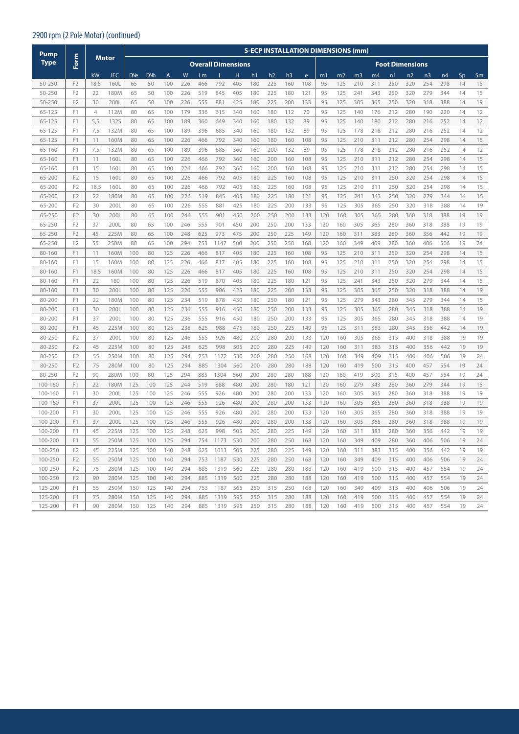#### 2900 rpm (2 Pole Motor) (continued)

| Pump               |                                  |                |              |            |            |                |            |            |                           |            |            |                |            |            |            | <b>S-ECP INSTALLATION DIMENSIONS (mm)</b> |                |            |                        |            |                |            |          |          |
|--------------------|----------------------------------|----------------|--------------|------------|------------|----------------|------------|------------|---------------------------|------------|------------|----------------|------------|------------|------------|-------------------------------------------|----------------|------------|------------------------|------------|----------------|------------|----------|----------|
| <b>Type</b>        | Form                             |                | Motor        |            |            |                |            |            | <b>Overall Dimensions</b> |            |            |                |            |            |            |                                           |                |            | <b>Foot Dimensions</b> |            |                |            |          |          |
|                    |                                  | kW             | <b>IEC</b>   | <b>DNe</b> | <b>DNb</b> | $\overline{A}$ | W          | Lm         |                           | н          | h1         | h <sub>2</sub> | h3         | e          | m1         | m2                                        | m <sub>3</sub> | m4         | n1                     | n2         | n <sub>3</sub> | n4         | Sp       | Sm       |
| 50-250             | F <sub>2</sub>                   | 18,5           | 160L         | 65         | 50         | 100            | 226        | 466        | 792                       | 405        | 180        | 225            | 160        | 108        | 95         | 125                                       | 210            | 311        | 250                    | 320        | 254            | 298        | 14       | 15       |
| 50-250             | F <sub>2</sub>                   | 22             | 180M         | 65         | 50         | 100            | 226        | 519        | 845                       | 405        | 180        | 225            | 180        | 121        | 95         | 125                                       | 241            | 343        | 250                    | 320        | 279            | 344        | 14       | 15       |
| 50-250             | F <sub>2</sub>                   | 30             | 200L         | 65         | 50         | 100            | 226        | 555        | 881                       | 425        | 180        | 225            | 200        | 133        | 95         | 125                                       | 305            | 365        | 250                    | 320        | 318            | 388        | 14       | 19       |
| 65-125             | F <sub>1</sub>                   | $\overline{4}$ | 112M         | 80         | 65         | 100            | 179        | 336        | 615                       | 340        | 160        | 180            | 112        | 70         | 95         | 125                                       | 140            | 176        | 212                    | 280        | 190            | 220        | 14       | 12       |
| 65-125             | F <sub>1</sub>                   | 5,5            | <b>132S</b>  | 80         | 65         | 100            | 189        | 360        | 649                       | 340        | 160        | 180            | 132        | 89         | 95         | 125                                       | 140            | 180        | 212                    | 280        | 216            | 252        | 14       | 12       |
| 65-125             | F1                               | 7,5            | 132M         | 80         | 65         | 100            | 189        | 396        | 685                       | 340        | 160        | 180            | 132        | 89         | 95         | 125                                       | 178            | 218        | 212                    | 280        | 216            | 252        | 14       | 12       |
| $65 - 125$         | F <sub>1</sub>                   | 11             | 160M         | 80         | 65         | 100            | 226        | 466        | 792                       | 340        | 160        | 180            | 160        | 108        | 95         | 125                                       | 210            | 311        | 212                    | 280        | 254            | 298        | 14       | 15       |
| 65-160             | F1                               | 7,5            | 132M         | 80         | 65         | 100            | 189        | 396        | 685                       | 360        | 160        | 200            | 132        | 89         | 95         | 125                                       | 178            | 218        | 212                    | 280        | 216            | 252        | 14       | 12       |
| 65-160             | F1                               | 11             | 160L         | 80         | 65         | 100            | 226        | 466        | 792                       | 360        | 160        | 200            | 160        | 108        | 95         | 125                                       | 210            | 311        | 212                    | 280        | 254            | 298        | 14       | 15       |
| 65-160             | F <sub>1</sub>                   | 15             | 160L         | 80         | 65         | 100            | 226        | 466        | 792                       | 360        | 160        | 200            | 160        | 108        | 95         | 125                                       | 210            | 311        | 212                    | 280        | 254            | 298        | 14       | 15       |
| 65-200             | F <sub>2</sub>                   | 15             | 160L         | 80         | 65         | 100            | 226        | 466        | 792                       | 405        | 180        | 225            | 160        | 108        | 95         | 125                                       | 210            | 311        | 250                    | 320        | 254            | 298        | 14       | 15       |
| 65-200             | F <sub>2</sub>                   | 18,5           | 160L         | 80         | 65         | 100            | 226        | 466        | 792                       | 405        | 180        | 225            | 160        | 108        | 95         | 125                                       | 210            | 311        | 250                    | 320        | 254            | 298        | 14       | 15       |
| 65-200             | F <sub>2</sub>                   | 22             | 180M         | 80         | 65         | 100            | 226        | 519        | 845                       | 405        | 180        | 225            | 180        | 121        | 95         | 125                                       | 241            | 343        | 250                    | 320        | 279            | 344        | 14       | 15       |
| 65-200             | F <sub>2</sub>                   | 30             | 200L         | 80         | 65         | 100            | 226        | 555        | 881                       | 425        | 180        | 225            | 200        | 133        | 95         | 125                                       | 305            | 365        | 250                    | 320        | 318            | 388        | 14       | 19       |
| 65-250             | F <sub>2</sub>                   | 30             | 200L         | 80         | 65         | 100            | 246        | 555        | 901                       | 450        | 200        | 250            | 200        | 133        | 120        | 160                                       | 305            | 365        | 280                    | 360        | 318            | 388        | 19       | 19       |
| 65-250             | F <sub>2</sub>                   | 37             | 200L         | 80         | 65         | 100            | 246        | 555        | 901                       | 450        | 200        | 250            | 200        | 133        | 120        | 160                                       | 305            | 365        | 280                    | 360        | 318            | 388        | 19       | 19       |
| 65-250             | F <sub>2</sub>                   | 45             | 225M         | 80         | 65         | 100            | 248        | 625        | 973                       | 475        | 200        | 250            | 225        | 149        | 120        | 160                                       | 311            | 383        | 280                    | 360        | 356            | 442        | 19       | 19       |
| 65-250             | F <sub>2</sub>                   | 55             | 250M         | 80         | 65         | 100            | 294        | 753        | 1147                      | 500        | 200        | 250            | 250        | 168        | 120        | 160                                       | 349            | 409        | 280                    | 360        | 406            | 506        | 19       | 24       |
| 80-160             | F <sub>1</sub>                   | 11             | 160M         | 100        | 80         | 125            | 226        | 466        | 817                       | 405        | 180        | 225            | 160        | 108        | 95         | 125                                       | 210            | 311        | 250                    | 320        | 254            | 298        | 14       | 15       |
| 80-160             | F <sub>1</sub>                   | 15             | 160M         | 100        | 80         | 125            | 226        | 466        | 817                       | 405        | 180        | 225            | 160        | 108        | 95         | 125                                       | 210            | 311        | 250                    | 320        | 254            | 298        | 14       | 15       |
| 80-160             | F <sub>1</sub>                   | 18,5           | 160M         | 100        | 80         | 125            | 226        | 466        | 817                       | 405        | 180        | 225            | 160        | 108        | 95         | 125                                       | 210            | 311        | 250                    | 320        | 254            | 298        | 14       | 15       |
| 80-160             | F <sub>1</sub>                   | 22             | 180          | 100        | 80         | 125            | 226        | 519        | 870                       | 405        | 180        | 225            | 180        | 121        | 95         | 125                                       | 241            | 343        | 250                    | 320        | 279            | 344        | 14       | 15       |
| 80-160             | F1                               | 30             | 200L         | 100        | 80         | 125            | 226        | 555        | 906                       | 425        | 180        | 225            | 200        | 133        | 95         | 125                                       | 305            | 365        | 250                    | 320        | 318            | 388        | 14       | 19       |
| 80-200             | F <sub>1</sub>                   | 22             | 180M         | 100        | 80         | 125            | 234        | 519        | 878                       | 430        | 180        | 250            | 180        | 121        | 95         | 125                                       | 279            | 343        | 280                    | 345        | 279            | 344        | 14       | 15       |
| 80-200             | F1                               | 30             | 200L         | 100        | 80         | 125            | 236        | 555        | 916                       | 450        | 180        | 250            | 200        | 133        | 95         | 125                                       | 305            | 365        | 280                    | 345        | 318            | 388        | 14       | 19       |
| 80-200             | F1                               | 37             | 200L         | 100        | 80         | 125            | 236        | 555        | 916                       | 450        | 180        | 250            | 200        | 133        | 95         | 125                                       | 305            | 365        | 280                    | 345        | 318            | 388        | 14       | 19       |
| 80-200             | F <sub>1</sub>                   | 45             | 225M         | 100        | 80         | 125            | 238        | 625        | 988                       | 475        | 180        | 250            | 225        | 149        | 95         | 125                                       | 311            | 383        | 280                    | 345        | 356            | 442        | 14       | 19       |
| 80-250             | F <sub>2</sub>                   | 37             | 200L         | 100        | 80         | 125            | 246        | 555        | 926                       | 480        | 200        | 280            | 200        | 133        | 120        | 160                                       | 305            | 365        | 315                    | 400        | 318            | 388        | 19       | 19       |
| 80-250             | F <sub>2</sub>                   | 45             | 225M         | 100        | 80         | 125            | 248        | 625        | 998                       | 505        | 200        | 280            | 225        | 149        | 120        | 160                                       | 311            | 383        | 315                    | 400        | 356            | 442        | 19       | 19       |
| 80-250             | F <sub>2</sub>                   | 55             | 250M         | 100        | 80         | 125            | 294        | 753        | 1172                      | 530        | 200        | 280            | 250        | 168        | 120        | 160                                       | 349            | 409        | 315                    | 400        | 406            | 506        | 19       | 24       |
| 80-250             | F <sub>2</sub><br>F <sub>2</sub> | 75             | 280M         | 100        | 80         | 125            | 294        | 885        | 1304                      | 560        | 200        | 280            | 280        | 188        | 120        | 160                                       | 419            | 500        | 315                    | 400        | 457            | 554        | 19       | 24       |
| 80-250             |                                  | 90             | 280M         | 100        | 80         | 125            | 294        | 885        | 1304                      | 560        | 200        | 280            | 280        | 188        | 120        | 160                                       | 419            | 500        | 315                    | 400        | 457            | 554        | 19       | 24       |
| 100-160<br>100-160 | F1<br>F1                         | 22<br>30       | 180M<br>200L | 125<br>125 | 100<br>100 | 125<br>125     | 244<br>246 | 519<br>555 | 888<br>926                | 480<br>480 | 200<br>200 | 280<br>280     | 180<br>200 | 121<br>133 | 120        | 160<br>160                                | 279<br>305     | 343<br>365 | 280<br>280             | 360        | 279<br>318     | 344<br>388 | 19<br>19 | 15<br>19 |
| 100-160            | F <sub>1</sub>                   | 37             | 200L         | 125        | 100        | 125            | 246        | 555        | 926                       | 480        | 200        | 280            | 200        | 133        | 120        | 160                                       | 305            | 365        | 280                    | 360<br>360 | 318            | 388        | 19       | 19       |
| 100-200            | F1                               | 30             | 200L         | 125        | 100        | 125            | 246        | 555        | 926                       | 480        | 200        | 280            | 200        | 133        | 120<br>120 | 160                                       | 305            | 365        | 280                    | 360        | 318            | 388        | 19       | 19       |
| 100-200            | F1                               | 37             | 200L         | 125        | 100        | 125            | 246        | 555        | 926                       | 480        | 200        | 280            | 200        | 133        | 120        | 160                                       | 305            | 365        | 280                    | 360        | 318            | 388        | 19       | 19       |
| 100-200            | F1                               | 45             | 225M         | 125        | 100        | 125            | 248        | 625        | 998                       | 505        | 200        | 280            | 225        | 149        | 120        | 160                                       | 311            | 383        | 280                    | 360        | 356            | 442        | 19       | 19       |
| 100-200            | F1                               | 55             | 250M         | 125        | 100        | 125            | 294        | 754        | 1173                      | 530        | 200        | 280            | 250        | 168        | 120        | 160                                       | 349            | 409        | 280                    | 360        | 406            | 506        | 19       | 24       |
| 100-250            | F2                               | 45             | 225M         | 125        | 100        | 140            | 248        | 625        | 1013                      | 505        | 225        | 280            | 225        | 149        | 120        | 160                                       | 311            | 383        | 315                    | 400        | 356            | 442        | 19       | 19       |
|                    |                                  |                |              |            |            |                |            |            |                           |            |            |                |            |            |            |                                           |                |            |                        |            |                |            |          |          |
| 100-250            | F <sub>2</sub><br>F <sub>2</sub> | 55             | 250M         | 125        | 100        | 140            | 294        | 753        | 1187                      | 530        | 225        | 280            | 250        | 168        | 120        | 160                                       | 349            | 409        | 315                    | 400        | 406            | 506        | 19       | 24       |
| 100-250<br>100-250 | F <sub>2</sub>                   | 75<br>90       | 280M         | 125<br>125 | 100<br>100 | 140<br>140     | 294<br>294 | 885<br>885 | 1319                      | 560<br>560 | 225        | 280<br>280     | 280<br>280 | 188<br>188 | 120<br>120 | 160<br>160                                | 419<br>419     | 500<br>500 | 315<br>315             | 400<br>400 | 457            | 554<br>554 | 19<br>19 | 24<br>24 |
|                    |                                  |                | 280M         |            |            |                |            |            | 1319                      |            | 225        |                |            |            |            |                                           |                |            |                        |            | 457            |            |          |          |
| 125-200            | F1                               | 55             | 250M         | 150        | 125        | 140            | 294<br>294 | 753        | 1187                      | 565        | 250        | 315            | 250        | 168        | 120        | 160                                       | 349            | 409        | 315                    | 400        | 406            | 506        | 19       | 24       |
| 125-200            | F1                               | 75             | 280M         | 150        | 125        | 140            |            | 885        | 1319                      | 595        | 250        | 315            | 280        | 188        | 120        | 160                                       | 419            | 500        | 315                    | 400        | 457            | 554        | 19       | 24       |
| 125-200            | F1                               | 90             | 280M         | 150        | 125        | 140            | 294        | 885        | 1319                      | 595        | 250        | 315            | 280        | 188        | 120        | 160                                       | 419            | 500        | 315                    | 400        | 457            | 554        | 19       | 24       |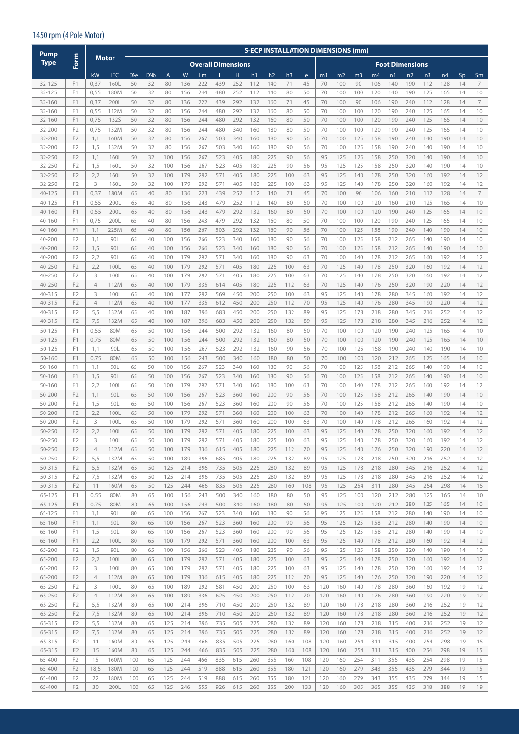#### 1450 rpm (4 Pole Motor)

| Pump             |                                  |                     |              |            |            |            |            |                           |            |            |            |            |                |           |            | <b>S-ECP INSTALLATION DIMENSIONS (mm)</b> |                |            |            |                        |                |            |          |          |
|------------------|----------------------------------|---------------------|--------------|------------|------------|------------|------------|---------------------------|------------|------------|------------|------------|----------------|-----------|------------|-------------------------------------------|----------------|------------|------------|------------------------|----------------|------------|----------|----------|
| <b>Type</b>      | Form                             |                     | Motor        |            |            |            |            | <b>Overall Dimensions</b> |            |            |            |            |                |           |            |                                           |                |            |            | <b>Foot Dimensions</b> |                |            |          |          |
|                  |                                  | kW                  | <b>IEC</b>   | <b>DNe</b> | <b>DNb</b> | A          | W          | Lm                        |            | Н          | h1         | h2         | h <sub>3</sub> | e         | m1         | m <sub>2</sub>                            | m <sub>3</sub> | m4         | n1         | n2                     | n <sub>3</sub> | n4         | Sp       | Sm       |
| 32-125           | F1                               | 0,37                | 160L         | 50         | 32         | 80         | 136        | 222                       | 439        | 252        | 112        | 140        | 71             | 45        | 70         | 100                                       | 90             | 106        | 140        | 190                    | 112            | 128        | 14       | 7        |
| 32-125           | F1                               | 0,55                | 180M         | 50         | 32         | 80         | 156        | 244                       | 480        | 252        | 112        | 140        | 80             | 50        | 70         | 100                                       | 100            | 120        | 140        | 190                    | 125            | 165        | 14       | 10       |
| 32-160           | F1                               | 0,37                | 200L         | 50         | 32         | 80         | 136        | 222                       | 439        | 292        | 132        | 160        | 71             | 45        | 70         | 100                                       | 90             | 106        | 190        | 240                    | 112            | 128        | 14       | 7        |
| 32-160           | F1                               | 0,55                | 112M         | 50         | 32         | 80         | 156        | 244                       | 480        | 292        | 132        | 160        | 80             | 50        | 70         | 100                                       | 100            | 120        | 190        | 240                    | 125            | 165        | 14       | 10       |
| 32-160           | F1                               | 0,75                | <b>132S</b>  | 50         | 32         | 80         | 156        | 244                       | 480        | 292        | 132        | 160        | 80             | 50        | 70         | 100                                       | 100            | 120        | 190        | 240                    | 125            | 165        | 14       | 10       |
| 32-200           | F <sub>2</sub>                   | 0,75                | 132M         | 50         | 32         | 80         | 156        | 244                       | 480        | 340        | 160        | 180        | 80             | 50        | 70         | 100                                       | 100            | 120        | 190        | 240                    | 125            | 165        | 14       | 10       |
| 32-200           | F <sub>2</sub>                   | 1,1                 | 160M         | 50         | 32         | 80         | 156        | 267                       | 503        | 340        | 160        | 180        | 90             | 56        | 70         | 100                                       | 125            | 158        | 190        | 240                    | 140            | 190        | 14       | 10       |
| 32-200           | F <sub>2</sub>                   | 1,5                 | 132M         | 50         | 32         | 80         | 156        | 267                       | 503        | 340        | 160        | 180        | 90             | 56        | 70         | 100                                       | 125            | 158        | 190        | 240                    | 140            | 190        | 14       | 10       |
| 32-250<br>32-250 | F <sub>2</sub><br>F <sub>2</sub> | 1,1<br>1,5          | 160L<br>160L | 50<br>50   | 32<br>32   | 100<br>100 | 156<br>156 | 267<br>267                | 523<br>523 | 405<br>405 | 180<br>180 | 225<br>225 | 90<br>90       | 56<br>56  | 95<br>95   | 125<br>125                                | 125<br>125     | 158<br>158 | 250<br>250 | 320<br>320             | 140<br>140     | 190<br>190 | 14<br>14 | 10<br>10 |
| 32-250           | F <sub>2</sub>                   | 2,2                 | 160L         | 50         | 32         | 100        | 179        | 292                       | 571        | 405        | 180        | 225        | 100            | 63        | 95         | 125                                       | 140            | 178        | 250        | 320                    | 160            | 192        | 14       | 12       |
| 32-250           | F <sub>2</sub>                   | 3                   | 160L         | 50         | 32         | 100        | 179        | 292                       | 571        | 405        | 180        | 225        | 100            | 63        | 95         | 125                                       | 140            | 178        | 250        | 320                    | 160            | 192        | 14       | 12       |
| $40 - 125$       | F1                               | 0,37                | 180M         | 65         | 40         | 80         | 136        | 223                       | 439        | 252        | 112        | 140        | 71             | 45        | 70         | 100                                       | 90             | 106        | 160        | 210                    | 112            | 128        | 14       | 7        |
| 40-125           | F1                               | 0,55                | 200L         | 65         | 40         | 80         | 156        | 243                       | 479        | 252        | 112        | 140        | 80             | 50        | 70         | 100                                       | 100            | 120        | 160        | 210                    | 125            | 165        | 14       | 10       |
| 40-160           | F1                               | 0,55                | 200L         | 65         | 40         | 80         | 156        | 243                       | 479        | 292        | 132        | 160        | 80             | 50        | 70         | 100                                       | 100            | 120        | 190        | 240                    | 125            | 165        | 14       | 10       |
| 40-160           | F1                               | 0,75                | 200L         | 65         | 40         | 80         | 156        | 243                       | 479        | 292        | 132        | 160        | 80             | 50        | 70         | 100                                       | 100            | 120        | 190        | 240                    | 125            | 165        | 14       | 10       |
| 40-160           | F <sub>1</sub>                   | 1,1                 | 225M         | 65         | 40         | 80         | 156        | 267                       | 503        | 292        | 132        | 160        | 90             | 56        | 70         | 100                                       | 125            | 158        | 190        | 240                    | 140            | 190        | 14       | 10       |
| 40-200           | F <sub>2</sub><br>F <sub>2</sub> | 1,1                 | 90L          | 65         | 40         | 100        | 156        | 266                       | 523        | 340        | 160        | 180        | 90             | 56        | 70         | 100                                       | 125            | 158        | 212        | 265                    | 140            | 190        | 14       | 10       |
| 40-200<br>40-200 | F <sub>2</sub>                   | 1,5<br>2,2          | 90L<br>90L   | 65<br>65   | 40<br>40   | 100<br>100 | 156<br>179 | 266<br>292                | 523<br>571 | 340<br>340 | 160<br>160 | 180<br>180 | 90<br>90       | 56<br>63  | 70<br>70   | 100<br>100                                | 125<br>140     | 158<br>178 | 212<br>212 | 265<br>265             | 140<br>160     | 190<br>192 | 14<br>14 | 10<br>12 |
| 40-250           | F <sub>2</sub>                   | 2,2                 | 100L         | 65         | 40         | 100        | 179        | 292                       | 571        | 405        | 180        | 225        | 100            | 63        | 70         | 125                                       | 140            | 178        | 250        | 320                    | 160            | 192        | 14       | 12       |
| 40-250           | F <sub>2</sub>                   | 3                   | 100L         | 65         | 40         | 100        | 179        | 292                       | 571        | 405        | 180        | 225        | 100            | 63        | 70         | 125                                       | 140            | 178        | 250        | 320                    | 160            | 192        | 14       | 12       |
| 40-250           | F <sub>2</sub>                   | $\overline{4}$      | 112M         | 65         | 40         | 100        | 179        | 335                       | 614        | 405        | 180        | 225        | 112            | 63        | 70         | 125                                       | 140            | 176        | 250        | 320                    | 190            | 220        | 14       | 12       |
| 40-315           | F <sub>2</sub>                   | 3                   | 100L         | 65         | 40         | 100        | 177        | 292                       | 569        | 450        | 200        | 250        | 100            | 63        | 95         | 125                                       | 140            | 178        | 280        | 345                    | 160            | 192        | 14       | 12       |
| 40-315           | F <sub>2</sub>                   | $\overline{4}$      | 112M         | 65         | 40         | 100        | 177        | 335                       | 612        | 450        | 200        | 250        | 112            | 70        | 95         | 125                                       | 140            | 176        | 280        | 345                    | 190            | 220        | 14       | 12       |
| 40-315           | F <sub>2</sub>                   | 5,5                 | 132M         | 65         | 40         | 100        | 187        | 396                       | 683        | 450        | 200        | 250        | 132            | 89        | 95         | 125                                       | 178            | 218        | 280        | 345                    | 216            | 252        | 14       | 12       |
| 40-315           | F <sub>2</sub>                   | 7,5                 | 132M         | 65         | 40         | 100        | 187        | 396                       | 683        | 450        | 200        | 250        | 132            | 89        | 95         | 125                                       | 178            | 218        | 280        | 345                    | 216            | 252        | 14       | 12       |
| $50 - 125$       | F1                               | 0,55                | 80M          | 65         | 50         | 100        | 156        | 244                       | 500        | 292        | 132        | 160        | 80             | 50        | 70         | 100                                       | 100            | 120        | 190        | 240                    | 125            | 165        | 14       | 10       |
| 50-125           | F1                               | 0,75                | 80M          | 65         | 50         | 100        | 156        | 244                       | 500        | 292        | 132        | 160        | 80             | 50        | 70         | 100                                       | 100            | 120        | 190        | 240                    | 125            | 165        | 14       | 10       |
| 50-125<br>50-160 | F1<br>F1                         | 1,1<br>0,75         | 90L<br>80M   | 65<br>65   | 50<br>50   | 100<br>100 | 156<br>156 | 267<br>243                | 523<br>500 | 292<br>340 | 132<br>160 | 160<br>180 | 90<br>80       | 56<br>50  | 70<br>70   | 100<br>100                                | 125<br>100     | 158<br>120 | 190<br>212 | 240<br>265             | 140<br>125     | 190<br>165 | 14<br>14 | 10<br>10 |
| 50-160           | F1                               | 1,1                 | 90L          | 65         | 50         | 100        | 156        | 267                       | 523        | 340        | 160        | 180        | 90             | 56        | 70         | 100                                       | 125            | 158        | 212        | 265                    | 140            | 190        | 14       | 10       |
| 50-160           | F <sub>1</sub>                   | 1,5                 | 90L          | 65         | 50         | 100        | 156        | 267                       | 523        | 340        | 160        | 180        | 90             | 56        | 70         | 100                                       | 125            | 158        | 212        | 265                    | 140            | 190        | 14       | 10       |
| 50-160           | F <sub>1</sub>                   | 2,2                 | 100L         | 65         | 50         | 100        | 179        | 292                       | 571        | 340        | 160        | 180        | 100            | 63        | 70         | 100                                       | 140            | 178        | 212        | 265                    | 160            | 192        | 14       | 12       |
| 50-200           | F <sub>2</sub>                   | 1,1                 | 90L          | 65         | 50         | 100        | 156        | 267                       | 523        | 360        | 160        | 200        | 90             | 56        | 70         | 100                                       | 125            | 158        | 212        | 265                    | 140            | 190        | 14       | 10       |
| 50-200           | F <sub>2</sub>                   | 1,5                 | 90L          | 65         | 50         | 100        | 156        | 267                       | 523        | 360        | 160        | 200        | 90             | 56        | 70         | 100                                       | 125            | 158        | 212        | 265                    | 140            | 190        | 14       | 10       |
| 50-200           | F <sub>2</sub>                   | 2,2                 | 100L         | 65         | 50         | 100        | 179        | 292                       | 571        | 360        | 160        | 200        | 100            | 63        | 70         | 100                                       | 140            | 178        | 212        | 265                    | 160            | 192        | 14       | 12       |
| 50-200           | F <sub>2</sub>                   | 3                   | 100L         | 65         | 50         | 100        | 179        | 292                       | 571        | 360        | 160        | 200        | 100            | 63        | 70         | 100                                       | 140            | 178        | 212        | 265                    | 160            | 192        | 14       | 12       |
| 50-250           | F <sub>2</sub>                   | 2,2                 | 100L         | 65         | 50         | 100        | 179        | 292                       | 571        | 405        | 180        | 225        | 100            | 63        | 95         | 125                                       | 140            | 178        | 250        | 320                    | 160            | 192        | 14       | 12       |
| 50-250<br>50-250 | F <sub>2</sub><br>F <sub>2</sub> | 3<br>$\overline{4}$ | 100L<br>112M | 65         | 50<br>50   | 100<br>100 | 179<br>179 | 292                       | 571<br>615 | 405<br>405 | 180<br>180 | 225<br>225 | 100            | 63<br>70  | 95         | 125<br>125                                | 140<br>140     | 178<br>176 | 250<br>250 | 320<br>320             | 160<br>190     | 192<br>220 | 14<br>14 | 12<br>12 |
| 50-250           | F <sub>2</sub>                   | 5,5                 | 132M         | 65<br>65   | 50         | 100        | 189        | 336<br>396                | 685        | 405        | 180        | 225        | 112<br>132     | 89        | 95<br>95   | 125                                       | 178            | 218        | 250        | 320                    | 216            | 252        | 14       | 12       |
| 50-315           | F <sub>2</sub>                   | 5,5                 | 132M         | 65         | 50         | 125        | 214        | 396                       | 735        | 505        | 225        | 280        | 132            | 89        | 95         | 125                                       | 178            | 218        | 280        | 345                    | 216            | 252        | 14       | 12       |
| 50-315           | F <sub>2</sub>                   | 7,5                 | 132M         | 65         | 50         | 125        | 214        | 396                       | 735        | 505        | 225        | 280        | 132            | 89        | 95         | 125                                       | 178            | 218        | 280        | 345                    | 216            | 252        | 14       | 12       |
| 50-315           | F <sub>2</sub>                   | 11                  | 160M         | 65         | 50         | 125        | 244        | 466                       | 835        | 505        | 225        | 280        | 160            | 108       | 95         | 125                                       | 254            | 311        | 280        | 345                    | 254            | 298        | 14       | 15       |
| 65-125           | F1                               | 0,55                | 80M          | 80         | 65         | 100        | 156        | 243                       | 500        | 340        | 160        | 180        | 80             | 50        | 95         | 125                                       | 100            | 120        | 212        | 280                    | 125            | 165        | 14       | 10       |
| $65 - 125$       | F1                               | 0,75                | 80M          | 80         | 65         | 100        | 156        | 243                       | 500        | 340        | 160        | 180        | 80             | 50        | 95         | 125                                       | 100            | 120        | 212        | 280                    | 125            | 165        | 14       | 10       |
| 65-125           | F <sub>1</sub>                   | 1,1                 | 90L          | 80         | 65         | 100        | 156        | 267                       | 523        | 340        | 160        | 180        | 90             | 56        | 95         | 125                                       | 125            | 158        | 212        | 280                    | 140            | 190        | 14       | 10       |
| 65-160           | F1                               | 1,1                 | 90L          | 80         | 65         | 100        | 156        | 267                       | 523        | 360        | 160        | 200        | 90             | 56        | 95         | 125                                       | 125            | 158        | 212        | 280                    | 140            | 190        | 14       | 10       |
| 65-160           | F1<br>F1                         | 1,5                 | 90L          | 80         | 65         | 100        | 156        | 267                       | 523        | 360        | 160        | 200        | 90             | 56        | 95         | 125                                       | 125            | 158        | 212        | 280                    | 140            | 190        | 14       | 10       |
| 65-160<br>65-200 | F <sub>2</sub>                   | 2,2<br>1,5          | 100L<br>90L  | 80<br>80   | 65<br>65   | 100<br>100 | 179<br>156 | 292<br>266                | 571<br>523 | 360<br>405 | 160<br>180 | 200<br>225 | 100<br>90      | 63<br>56  | 95<br>95   | 125<br>125                                | 140<br>125     | 178<br>158 | 212<br>250 | 280<br>320             | 160<br>140     | 192<br>190 | 14<br>14 | 12<br>10 |
| 65-200           | F <sub>2</sub>                   | 2,2                 | 100L         | 80         | 65         | 100        | 179        | 292                       | 571        | 405        | 180        | 225        | 100            | 63        | 95         | 125                                       | 140            | 178        | 250        | 320                    | 160            | 192        | 14       | 12       |
| 65-200           | F <sub>2</sub>                   | 3                   | 100L         | 80         | 65         | 100        | 179        | 292                       | 571        | 405        | 180        | 225        | 100            | 63        | 95         | 125                                       | 140            | 178        | 250        | 320                    | 160            | 192        | 14       | 12       |
| 65-200           | F <sub>2</sub>                   | $\overline{4}$      | 112M         | 80         | 65         | 100        | 179        | 336                       | 615        | 405        | 180        | 225        | 112            | 70        | 95         | 125                                       | 140            | 176        | 250        | 320                    | 190            | 220        | 14       | 12       |
| 65-250           | F <sub>2</sub>                   | 3                   | 100L         | 80         | 65         | 100        | 189        | 292                       | 581        | 450        | 200        | 250        | 100            | 63        | 120        | 160                                       | 140            | 178        | 280        | 360                    | 160            | 192        | 19       | 12       |
| 65-250           | F <sub>2</sub>                   | $\overline{4}$      | 112M         | 80         | 65         | 100        | 189        | 336                       | 625        | 450        | 200        | 250        | 112            | 70        | 120        | 160                                       | 140            | 176        | 280        | 360                    | 190            | 220        | 19       | 12       |
| 65-250           | F <sub>2</sub>                   | 5,5                 | 132M         | 80         | 65         | 100        | 214        | 396                       | 710        | 450        | 200        | 250        | 132            | 89        | 120        | 160                                       | 178            | 218        | 280        | 360                    | 216            | 252        | 19       | 12       |
| 65-250           | F <sub>2</sub>                   | 7,5                 | 132M         | 80         | 65         | 100        | 214        | 396                       | 710        | 450        | 200        | 250        | 132            | 89        | 120        | 160                                       | 178            | 218        | 280        | 360                    | 216            | 252        | 19       | 12       |
| 65-315           | F <sub>2</sub>                   | 5,5                 | 132M         | 80         | 65         | 125        | 214        | 396                       | 735        | 505        | 225        | 280        | 132            | 89        | 120        | 160                                       | 178            | 218        | 315        | 400                    | 216            | 252        | 19       | 12       |
| 65-315<br>65-315 | F <sub>2</sub><br>F <sub>2</sub> | 7,5<br>11           | 132M         | 80         | 65<br>65   | 125        | 214<br>244 | 396<br>466                | 735<br>835 | 505        | 225        | 280<br>280 | 132<br>160     | 89<br>108 | 120        | 160                                       | 178<br>254     | 218<br>311 | 315<br>315 | 400                    | 216<br>254     | 252        | 19<br>19 | 12<br>15 |
| 65-315           | F <sub>2</sub>                   | 15                  | 160M<br>160M | 80<br>80   | 65         | 125<br>125 | 244        | 466                       | 835        | 505<br>505 | 225<br>225 | 280        | 160            | 108       | 120<br>120 | 160<br>160                                | 254            | 311        | 315        | 400<br>400             | 254            | 298<br>298 | 19       | 15       |
| 65-400           | F <sub>2</sub>                   | 15                  | 160M         | 100        | 65         | 125        | 244        | 466                       | 835        | 615        | 260        | 355        | 160            | 108       | 120        | 160                                       | 254            | 311        | 355        | 435                    | 254            | 298        | 19       | 15       |
| 65-400           | F <sub>2</sub>                   | 18,5                | 180M         | 100        | 65         | 125        | 244        | 519                       | 888        | 615        | 260        | 355        | 180            | 121       | 120        | 160                                       | 279            | 343        | 355        | 435                    | 279            | 344        | 19       | 15       |
| 65-400           | F <sub>2</sub>                   | 22                  | 180M         | 100        | 65         | 125        | 244        | 519                       | 888        | 615        | 260        | 355        | 180            | 121       | 120        | 160                                       | 279            | 343        | 355        | 435                    | 279            | 344        | 19       | 15       |
| 65-400           | F <sub>2</sub>                   | 30                  | 200L         | 100        | 65         | 125        | 246        | 555                       | 926        | 615        | 260        | 355        | 200            | 133       | 120        | 160                                       | 305            | 365        | 355        | 435                    | 318            | 388        | 19       | 19       |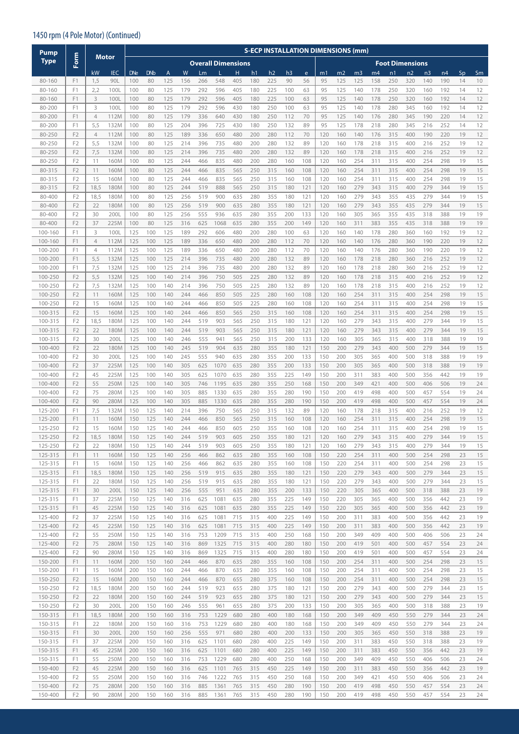#### 1450 rpm (4 Pole Motor) (Continued)

| <b>Pump</b>        |                                  |                |              |            |            |            |            |            |                           |            |            | <b>S-ECP INSTALLATION DIMENSIONS (mm)</b> |                |            |            |                |                |            |            |                        |                |            |          |          |
|--------------------|----------------------------------|----------------|--------------|------------|------------|------------|------------|------------|---------------------------|------------|------------|-------------------------------------------|----------------|------------|------------|----------------|----------------|------------|------------|------------------------|----------------|------------|----------|----------|
| <b>Type</b>        | Form                             |                | <b>Motor</b> |            |            |            |            |            | <b>Overall Dimensions</b> |            |            |                                           |                |            |            |                |                |            |            | <b>Foot Dimensions</b> |                |            |          |          |
|                    |                                  | kW             | <b>IEC</b>   | <b>DNe</b> | <b>DNb</b> | A          | W          | Lm         |                           | н          | h1         | h2                                        | h <sub>3</sub> | e          | m1         | m <sub>2</sub> | m <sub>3</sub> | m4         | n1         | n2                     | n <sub>3</sub> | n4         | Sp       | Sm       |
| 80-160             | F <sub>1</sub>                   | 1,5            | 90L          | 100        | 80         | 125        | 156        | 266        | 548                       | 405        | 180        | 225                                       | 90             | 56         | 95         | 125            | 125            | 158        | 250        | 320                    | 140            | 190        | 14       | 10       |
| 80-160             | F1                               | 2,2            | 100L         | 100        | 80         | 125        | 179        | 292        | 596                       | 405        | 180        | 225                                       | 100            | 63         | 95         | 125            | 140            | 178        | 250        | 320                    | 160            | 192        | 14       | 12       |
| 80-160             | F <sub>1</sub>                   | 3              | 100L         | 100        | 80         | 125        | 179        | 292        | 596                       | 405        | 180        | 225                                       | 100            | 63         | 95         | 125            | 140            | 178        | 250        | 320                    | 160            | 192        | 14       | 12       |
| 80-200             | F1                               | 3              | 100L         | 100        | 80         | 125        | 179        | 292        | 596                       | 430        | 180        | 250                                       | 100            | 63         | 95         | 125            | 140            | 178        | 280        | 345                    | 160            | 192        | 14       | 12       |
| 80-200             | F1                               | $\overline{4}$ | 112M         | 100        | 80         | 125        | 179        | 336        | 640                       | 430        | 180        | 250                                       | 112            | 70         | 95         | 125            | 140            | 176        | 280        | 345                    | 190            | 220        | 14       | 12       |
| 80-200             | F <sub>1</sub>                   | 5,5            | 132M         | 100        | 80         | 125        | 204        | 396        | 725                       | 430        | 180        | 250                                       | 132            | 89         | 95         | 125            | 178            | 218        | 280        | 345                    | 216            | 252        | 14       | 12       |
| 80-250             | F <sub>2</sub>                   | $\overline{4}$ | 112M         | 100        | 80         | 125        | 189        | 336        | 650                       | 480        | 200        | 280                                       | 112            | 70         | 120        | 160            | 140            | 176        | 315        | 400                    | 190            | 220        | 19       | 12       |
| 80-250             | F <sub>2</sub>                   | 5,5            | 132M         | 100        | 80         | 125        | 214        | 396        | 735                       | 480        | 200        | 280                                       | 132            | 89         | 120        | 160            | 178            | 218        | 315        | 400                    | 216            | 252        | 19       | 12       |
| 80-250<br>80-250   | F <sub>2</sub><br>F <sub>2</sub> | 7,5<br>11      | 132M<br>160M | 100<br>100 | 80<br>80   | 125<br>125 | 214<br>244 | 396<br>466 | 735<br>835                | 480<br>480 | 200<br>200 | 280<br>280                                | 132<br>160     | 89<br>108  | 120<br>120 | 160<br>160     | 178<br>254     | 218<br>311 | 315<br>315 | 400<br>400             | 216<br>254     | 252<br>298 | 19<br>19 | 12<br>15 |
| 80-315             | F <sub>2</sub>                   | 11             | 160M         | 100        | 80         | 125        | 244        | 466        | 835                       | 565        | 250        | 315                                       | 160            | 108        | 120        | 160            | 254            | 311        | 315        | 400                    | 254            | 298        | 19       | 15       |
| 80-315             | F <sub>2</sub>                   | 15             | 160M         | 100        | 80         | 125        | 244        | 466        | 835                       | 565        | 250        | 315                                       | 160            | 108        | 120        | 160            | 254            | 311        | 315        | 400                    | 254            | 298        | 19       | 15       |
| 80-315             | F <sub>2</sub>                   | 18,5           | 180M         | 100        | 80         | 125        | 244        | 519        | 888                       | 565        | 250        | 315                                       | 180            | 121        | 120        | 160            | 279            | 343        | 315        | 400                    | 279            | 344        | 19       | 15       |
| 80-400             | F <sub>2</sub>                   | 18,5           | 180M         | 100        | 80         | 125        | 256        | 519        | 900                       | 635        | 280        | 355                                       | 180            | 121        | 120        | 160            | 279            | 343        | 355        | 435                    | 279            | 344        | 19       | 15       |
| 80-400             | F <sub>2</sub>                   | 22             | 180M         | 100        | 80         | 125        | 256        | 519        | 900                       | 635        | 280        | 355                                       | 180            | 121        | 120        | 160            | 279            | 343        | 355        | 435                    | 279            | 344        | 19       | 15       |
| 80-400             | F <sub>2</sub>                   | 30             | 200L         | 100        | 80         | 125        | 256        | 555        | 936                       | 635        | 280        | 355                                       | 200            | 133        | 120        | 160            | 305            | 365        | 355        | 435                    | 318            | 388        | 19       | 19       |
| 80-400             | F <sub>2</sub>                   | 37             | 225M         | 100        | 80         | 125        | 316        | 625        | 1068                      | 635        | 280        | 355                                       | 200            | 149        | 120        | 160            | 311            | 383        | 355        | 435                    | 318            | 388        | 19       | 19       |
| 100-160            | F1                               | 3              | 100L         | 125        | 100        | 125        | 189        | 292        | 606                       | 480        | 200        | 280                                       | 100            | 63         | 120        | 160            | 140            | 178        | 280        | 360                    | 160            | 192        | 19       | 12       |
| 100-160            | F1                               | 4              | 112M         | 125        | 100        | 125        | 189        | 336        | 650                       | 480        | 200        | 280                                       | 112            | 70         | 120        | 160            | 140            | 176        | 280        | 360                    | 190            | 220        | 19       | 12       |
| 100-200            | F1                               | $\overline{4}$ | 112M         | 125        | 100        | 125        | 189        | 336        | 650                       | 480        | 200        | 280                                       | 112            | 70         | 120        | 160            | 140            | 176        | 280        | 360                    | 190            | 220        | 19       | 12       |
| 100-200            | F1                               | 5,5            | 132M         | 125        | 100        | 125        | 214        | 396        | 735                       | 480        | 200        | 280                                       | 132            | 89         | 120        | 160            | 178            | 218        | 280        | 360                    | 216            | 252        | 19       | 12       |
| 100-200            | F1                               | 7,5            | 132M         | 125        | 100        | 125        | 214        | 396        | 735                       | 480        | 200        | 280                                       | 132            | 89         | 120        | 160            | 178            | 218        | 280        | 360                    | 216            | 252        | 19       | 12       |
| 100-250<br>100-250 | F <sub>2</sub><br>F <sub>2</sub> | 5,5<br>7,5     | 132M<br>132M | 125<br>125 | 100<br>100 | 140<br>140 | 214<br>214 | 396<br>396 | 750<br>750                | 505<br>505 | 225<br>225 | 280<br>280                                | 132<br>132     | 89<br>89   | 120<br>120 | 160<br>160     | 178<br>178     | 218<br>218 | 315<br>315 | 400<br>400             | 216<br>216     | 252<br>252 | 19<br>19 | 12<br>12 |
| 100-250            | F <sub>2</sub>                   | 11             | 160M         | 125        | 100        | 140        | 244        | 466        | 850                       | 505        | 225        | 280                                       | 160            | 108        | 120        | 160            | 254            | 311        | 315        | 400                    | 254            | 298        | 19       | 15       |
| 100-250            | F <sub>2</sub>                   | 15             | 160M         | 125        | 100        | 140        | 244        | 466        | 850                       | 505        | 225        | 280                                       | 160            | 108        | 120        | 160            | 254            | 311        | 315        | 400                    | 254            | 298        | 19       | 15       |
| 100-315            | F <sub>2</sub>                   | 15             | 160M         | 125        | 100        | 140        | 244        | 466        | 850                       | 565        | 250        | 315                                       | 160            | 108        | 120        | 160            | 254            | 311        | 315        | 400                    | 254            | 298        | 19       | 15       |
| 100-315            | F <sub>2</sub>                   | 18,5           | 180M         | 125        | 100        | 140        | 244        | 519        | 903                       | 565        | 250        | 315                                       | 180            | 121        | 120        | 160            | 279            | 343        | 315        | 400                    | 279            | 344        | 19       | 15       |
| 100-315            | F <sub>2</sub>                   | 22             | 180M         | 125        | 100        | 140        | 244        | 519        | 903                       | 565        | 250        | 315                                       | 180            | 121        | 120        | 160            | 279            | 343        | 315        | 400                    | 279            | 344        | 19       | 15       |
| 100-315            | F <sub>2</sub>                   | 30             | 200L         | 125        | 100        | 140        | 246        | 555        | 941                       | 565        | 250        | 315                                       | 200            | 133        | 120        | 160            | 305            | 365        | 315        | 400                    | 318            | 388        | 19       | 19       |
| 100-400            | F <sub>2</sub>                   | 22             | 180M         | 125        | 100        | 140        | 245        | 519        | 904                       | 635        | 280        | 355                                       | 180            | 121        | 150        | 200            | 279            | 343        | 400        | 500                    | 279            | 344        | 19       | 15       |
| 100-400            | F <sub>2</sub>                   | 30             | 200L         | 125        | 100        | 140        | 245        | 555        | 940                       | 635        | 280        | 355                                       | 200            | 133        | 150        | 200            | 305            | 365        | 400        | 500                    | 318            | 388        | 19       | 19       |
| 100-400            | F <sub>2</sub>                   | 37             | 225M         | 125        | 100        | 140        | 305        | 625        | 1070                      | 635        | 280        | 355                                       | 200            | 133        | 150        | 200            | 305            | 365        | 400        | 500                    | 318            | 388        | 19       | 19       |
| 100-400            | F <sub>2</sub>                   | 45             | 225M         | 125        | 100        | 140        | 305        | 625        | 1070                      | 635        | 280        | 355                                       | 225            | 149        | 150        | 200            | 311            | 383        | 400        | 500                    | 356            | 442        | 19       | 19       |
| 100-400            | F <sub>2</sub>                   | 55             | 250M         | 125        | 100        | 140        | 305        | 746        | 1195                      | 635        | 280        | 355                                       | 250            | 168        | 150        | 200            | 349            | 421        | 400        | 500                    | 406            | 506        | 19       | 24       |
| 100-400            | F <sub>2</sub>                   | 75             | 280M         | 125        | 100        | 140        | 305        | 885        | 1330                      | 635        | 280        | 355                                       | 280            | 190        | 150        | 200            | 419            | 498        | 400        | 500                    | 457            | 554        | 19       | 24       |
| 100-400<br>125-200 | F <sub>2</sub><br>F <sub>1</sub> | 90<br>7,5      | 280M<br>132M | 125<br>150 | 100<br>125 | 140<br>140 | 305<br>214 | 885<br>396 | 1330<br>750               | 635        | 280        | 355<br>315                                | 280<br>132     | 190<br>89  | 150<br>120 | 200            | 419            | 498        | 400<br>315 | 500                    | 457<br>216     | 554        | 19<br>19 | 24       |
| 125-200            | F1                               | 11             | 160M         | 150        | 125        | 140        | 244        | 466        | 850                       | 565<br>565 | 250<br>250 | 315                                       | 160            | 108        | 120        | 160<br>160     | 178<br>254     | 218<br>311 | 315        | 400<br>400             | 254            | 252<br>298 | 19       | 12<br>15 |
| 125-250            | F <sub>2</sub>                   | 15             | 160M         | 150        | 125        | 140        | 244        | 466        | 850                       | 605        | 250        | 355                                       | 160            | 108        | 120        | 160            | 254            | 311        | 315        | 400                    | 254            | 298        | 19       | 15       |
| 125-250            | F <sub>2</sub>                   | 18,5           | 180M         | 150        | 125        | 140        | 244        | 519        | 903                       | 605        | 250        | 355                                       | 180            | 121        | 120        | 160            | 279            | 343        | 315        | 400                    | 279            | 344        | 19       | 15       |
| 125-250            | F <sub>2</sub>                   | 22             | 180M         | 150        | 125        | 140        | 244        | 519        | 903                       | 605        | 250        | 355                                       | 180            | 121        | 120        | 160            | 279            | 343        | 315        | 400                    | 279            | 344        | 19       | 15       |
| 125-315            | F1                               | 11             | 160M         | 150        | 125        | 140        | 256        | 466        | 862                       | 635        | 280        | 355                                       | 160            | 108        | 150        | 220            | 254            | 311        | 400        | 500                    | 254            | 298        | 23       | 15       |
| 125-315            | F1                               | 15             | 160M         | 150        | 125        | 140        | 256        | 466        | 862                       | 635        | 280        | 355                                       | 160            | 108        | 150        | 220            | 254            | 311        | 400        | 500                    | 254            | 298        | 23       | 15       |
| 125-315            | F1                               | 18,5           | 180M         | 150        | 125        | 140        | 256        | 519        | 915                       | 635        | 280        | 355                                       | 180            | 121        | 150        | 220            | 279            | 343        | 400        | 500                    | 279            | 344        | 23       | 15       |
| 125-315            | F <sub>1</sub>                   | 22             | 180M         | 150        | 125        | 140        | 256        | 519        | 915                       | 635        | 280        | 355                                       | 180            | 121        | 150        | 220            | 279            | 343        | 400        | 500                    | 279            | 344        | 23       | 15       |
| 125-315            | F1                               | 30             | 200L         | 150        | 125        | 140        | 256        | 555        | 951                       | 635        | 280        | 355                                       | 200            | 133        | 150        | 220            | 305            | 365        | 400        | 500                    | 318            | 388        | 23       | 19       |
| 125-315            | F <sub>1</sub>                   | 37             | 225M         | 150        | 125        | 140        | 316        | 625        | 1081                      | 635        | 280        | 355                                       | 225            | 149        | 150        | 220            | 305            | 365        | 400        | 500                    | 356            | 442        | 23       | 19       |
| 125-315            | F1                               | 45             | 225M         | 150        | 125        | 140        | 316        | 625        | 1081                      | 635        | 280        | 355                                       | 225            | 149        | 150        | 220            | 305            | 365        | 400        | 500                    | 356            | 442        | 23       | 19       |
| 125-400<br>125-400 | F <sub>2</sub><br>F <sub>2</sub> | 37             | 225M<br>225M | 150        | 125<br>125 | 140<br>140 | 316<br>316 | 625        | 1081<br>1081              | 715<br>715 | 315<br>315 | 400<br>400                                | 225<br>225     | 149<br>149 | 150<br>150 | 200<br>200     | 311<br>311     | 383<br>383 | 400<br>400 | 500                    | 356<br>356     | 442<br>442 | 23<br>23 | 19<br>19 |
| 125-400            | F <sub>2</sub>                   | 45<br>55       | 250M         | 150<br>150 | 125        | 140        | 316        | 625<br>753 | 1209                      | 715        | 315        | 400                                       | 250            | 168        | 150        | 200            | 349            | 409        | 400        | 500<br>500             | 406            | 506        | 23       | 24       |
| 125-400            | F <sub>2</sub>                   | 75             | 280M         | 150        | 125        | 140        | 316        | 869        | 1325                      | 715        | 315        | 400                                       | 280            | 180        | 150        | 200            | 419            | 501        | 400        | 500                    | 457            | 554        | 23       | 24       |
| 125-400            | F <sub>2</sub>                   | 90             | 280M         | 150        | 125        | 140        | 316        | 869        | 1325                      | 715        | 315        | 400                                       | 280            | 180        | 150        | 200            | 419            | 501        | 400        | 500                    | 457            | 554        | 23       | 24       |
| 150-200            | F1                               | 11             | 160M         | 200        | 150        | 160        | 244        | 466        | 870                       | 635        | 280        | 355                                       | 160            | 108        | 150        | 200            | 254            | 311        | 400        | 500                    | 254            | 298        | 23       | 15       |
| 150-200            | F1                               | 15             | 160M         | 200        | 150        | 160        | 244        | 466        | 870                       | 635        | 280        | 355                                       | 160            | 108        | 150        | 200            | 254            | 311        | 400        | 500                    | 254            | 298        | 23       | 15       |
| 150-250            | F <sub>2</sub>                   | 15             | 160M         | 200        | 150        | 160        | 244        | 466        | 870                       | 655        | 280        | 375                                       | 160            | 108        | 150        | 200            | 254            | 311        | 400        | 500                    | 254            | 298        | 23       | 15       |
| 150-250            | F <sub>2</sub>                   | 18,5           | 180M         | 200        | 150        | 160        | 244        | 519        | 923                       | 655        | 280        | 375                                       | 180            | 121        | 150        | 200            | 279            | 343        | 400        | 500                    | 279            | 344        | 23       | 15       |
| 150-250            | F <sub>2</sub>                   | 22             | 180M         | 200        | 150        | 160        | 244        | 519        | 923                       | 655        | 280        | 375                                       | 180            | 121        | 150        | 200            | 279            | 343        | 400        | 500                    | 279            | 344        | 23       | 15       |
| 150-250            | F <sub>2</sub>                   | 30             | 200L         | 200        | 150        | 160        | 246        | 555        | 961                       | 655        | 280        | 375                                       | 200            | 133        | 150        | 200            | 305            | 365        | 400        | 500                    | 318            | 388        | 23       | 19       |
| 150-315            | F1                               | 18,5           | 180M         | 200        | 150        | 160        | 316        | 753        | 1229                      | 680        | 280        | 400                                       | 180            | 168        | 150        | 200            | 349            | 409        | 450        | 550                    | 279            | 344        | 23       | 24       |
| 150-315            | F1                               | 22             | 180M         | 200        | 150        | 160        | 316        | 753        | 1229                      | 680        | 280        | 400                                       | 180            | 168        | 150        | 200            | 349            | 409        | 450        | 550                    | 279            | 344        | 23       | 24       |
| 150-315            | F1                               | 30             | 200L         | 200        | 150        | 160        | 256        | 555        | 971                       | 680        | 280        | 400                                       | 200            | 133        | 150        | 200            | 305            | 365        | 450        | 550                    | 318            | 388        | 23       | 19       |
| 150-315            | F1                               | 37             | 225M         | 200        | 150        | 160        | 316        | 625        | 1101                      | 680        | 280        | 400                                       | 225            | 149        | 150        | 200            | 311            | 383        | 450        | 550                    | 318            | 388        | 23       | 19       |
| 150-315<br>150-315 | F <sub>1</sub><br>F1             | 45<br>55       | 225M<br>250M | 200<br>200 | 150<br>150 | 160<br>160 | 316<br>316 | 625<br>753 | 1101<br>1229              | 680<br>680 | 280<br>280 | 400<br>400                                | 225<br>250     | 149<br>168 | 150<br>150 | 200<br>200     | 311<br>349     | 383<br>409 | 450<br>450 | 550<br>550             | 356<br>406     | 442<br>506 | 23<br>23 | 19<br>24 |
| 150-400            | F <sub>2</sub>                   | 45             | 225M         | 200        | 150        | 160        | 316        | 625        | 1101                      | 765        | 315        | 450                                       | 225            | 149        | 150        | 200            | 311            | 383        | 450        | 550                    | 356            | 442        | 23       | 19       |
| 150-400            | F <sub>2</sub>                   | 55             | 250M         | 200        | 150        | 160        | 316        | 746        | 1222                      | 765        | 315        | 450                                       | 250            | 168        | 150        | 200            | 349            | 421        | 450        | 550                    | 406            | 506        | 23       | 24       |
| 150-400            | F <sub>2</sub>                   | 75             | 280M         | 200        | 150        | 160        | 316        | 885        | 1361                      | 765        | 315        | 450                                       | 280            | 190        | 150        | 200            | 419            | 498        | 450        | 550                    | 457            | 554        | 23       | 24       |
| 150-400            | F <sub>2</sub>                   | 90             | 280M         | 200        | 150        | 160        | 316        | 885        | 1361                      | 765        | 315        | 450                                       | 280            | 190        | 150        | 200            | 419            | 498        | 450        | 550                    | 457            | 554        | 23       | 24       |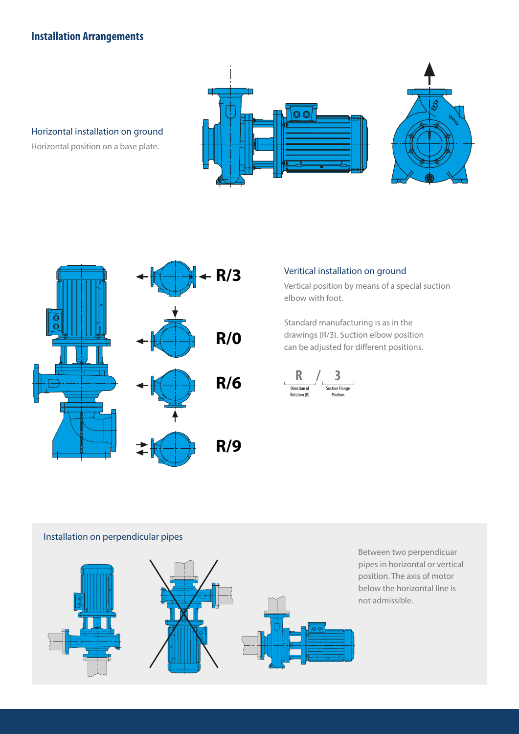## **Installation Arrangements**



Horizontal installation on ground

Horizontal position on a base plate.



#### Veritical installation on ground

Vertical position by means of a special suction elbow with foot.

Standard manufacturing is as in the drawings (R/3). Suction elbow position can be adjusted for different positions.



#### Installation on perpendicular pipes



Between two perpendicuar pipes in horizontal or vertical position. The axis of motor below the horizontal line is not admissible.